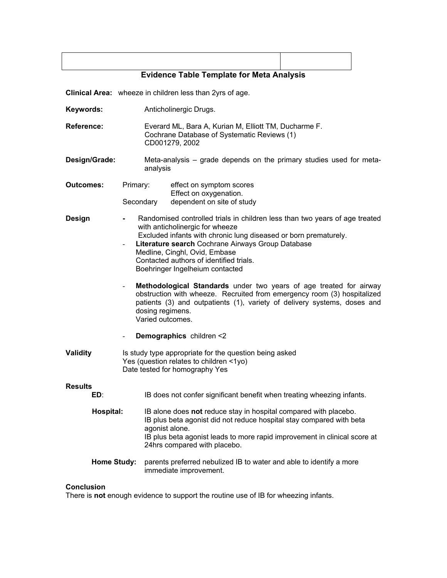| <b>Evidence Table Template for Meta Analysis</b> |
|--------------------------------------------------|

**Clinical Area:** wheeze in children less than 2yrs of age.

**Keywords:** Anticholinergic Drugs.

**Reference:** Everard ML, Bara A, Kurian M, Elliott TM, Ducharme F. Cochrane Database of Systematic Reviews (1) CD001279, 2002

**Design/Grade:** Meta-analysis – grade depends on the primary studies used for metaanalysis

| Outcomes: | Primary:  | effect on symptom scores   |  |  |  |  |
|-----------|-----------|----------------------------|--|--|--|--|
|           |           | Effect on oxygenation.     |  |  |  |  |
|           | Secondary | dependent on site of study |  |  |  |  |

- **Design**  Randomised controlled trials in children less than two years of age treated with anticholinergic for wheeze Excluded infants with chronic lung diseased or born prematurely.
	- **Literature search** Cochrane Airways Group Database Medline, Cinghl, Ovid, Embase Contacted authors of identified trials. Boehringer Ingelheium contacted
	- Methodological Standards under two years of age treated for airway obstruction with wheeze. Recruited from emergency room (3) hospitalized patients (3) and outpatients (1), variety of delivery systems, doses and dosing regimens. Varied outcomes.
	- **Demographics** children <2
- **Validity** Is study type appropriate for the question being asked Yes (question relates to children <1yo) Date tested for homography Yes

## **Results**

| ED: | IB does not confer significant benefit when treating wheezing infants. |
|-----|------------------------------------------------------------------------|
|-----|------------------------------------------------------------------------|

- **Hospital:** IB alone does **not** reduce stay in hospital compared with placebo. IB plus beta agonist did not reduce hospital stay compared with beta agonist alone. IB plus beta agonist leads to more rapid improvement in clinical score at 24hrs compared with placebo.
- **Home Study:** parents preferred nebulized IB to water and able to identify a more immediate improvement.

## **Conclusion**

There is **not** enough evidence to support the routine use of IB for wheezing infants.